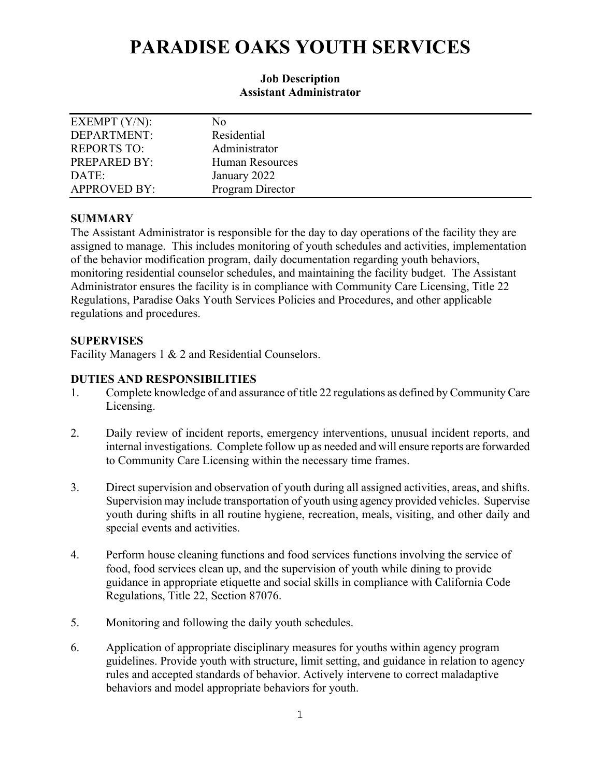# **PARADISE OAKS YOUTH SERVICES**

#### **Job Description Assistant Administrator**

| EXEMPT $(Y/N)$ :    | No                     |
|---------------------|------------------------|
| DEPARTMENT:         | Residential            |
| <b>REPORTS TO:</b>  | Administrator          |
| PREPARED BY:        | <b>Human Resources</b> |
| DATE:               | January 2022           |
| <b>APPROVED BY:</b> | Program Director       |

## **SUMMARY**

The Assistant Administrator is responsible for the day to day operations of the facility they are assigned to manage. This includes monitoring of youth schedules and activities, implementation of the behavior modification program, daily documentation regarding youth behaviors, monitoring residential counselor schedules, and maintaining the facility budget. The Assistant Administrator ensures the facility is in compliance with Community Care Licensing, Title 22 Regulations, Paradise Oaks Youth Services Policies and Procedures, and other applicable regulations and procedures.

## **SUPERVISES**

Facility Managers 1 & 2 and Residential Counselors.

## **DUTIES AND RESPONSIBILITIES**

- 1. Complete knowledge of and assurance of title 22 regulations as defined by Community Care Licensing.
- 2. Daily review of incident reports, emergency interventions, unusual incident reports, and internal investigations. Complete follow up as needed and will ensure reports are forwarded to Community Care Licensing within the necessary time frames.
- 3. Direct supervision and observation of youth during all assigned activities, areas, and shifts. Supervision may include transportation of youth using agency provided vehicles. Supervise youth during shifts in all routine hygiene, recreation, meals, visiting, and other daily and special events and activities.
- 4. Perform house cleaning functions and food services functions involving the service of food, food services clean up, and the supervision of youth while dining to provide guidance in appropriate etiquette and social skills in compliance with California Code Regulations, Title 22, Section 87076.
- 5. Monitoring and following the daily youth schedules.
- 6. Application of appropriate disciplinary measures for youths within agency program guidelines. Provide youth with structure, limit setting, and guidance in relation to agency rules and accepted standards of behavior. Actively intervene to correct maladaptive behaviors and model appropriate behaviors for youth.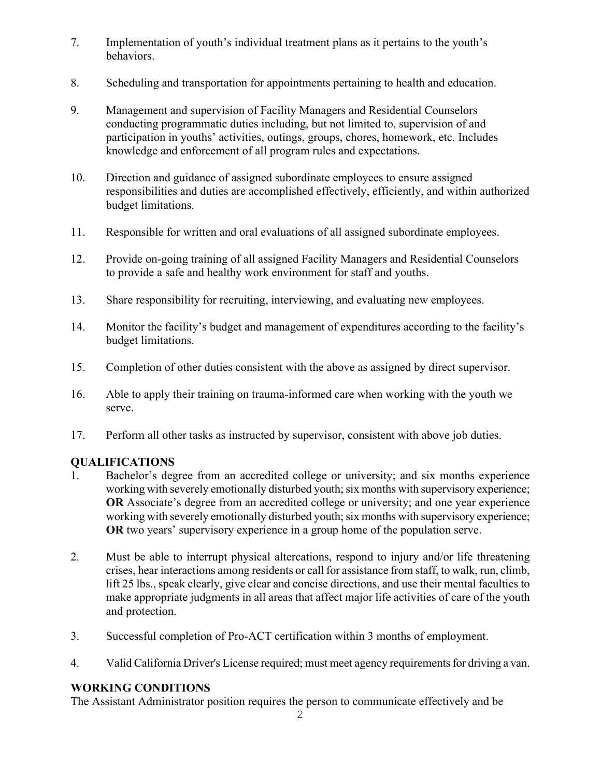- 7. Implementation of youth's individual treatment plans as it pertains to the youth's behaviors.
- 8. Scheduling and transportation for appointments pertaining to health and education.
- 9. Management and supervision of Facility Managers and Residential Counselors conducting programmatic duties including, but not limited to, supervision of and participation in youths' activities, outings, groups, chores, homework, etc. Includes knowledge and enforcement of all program rules and expectations.
- 10. Direction and guidance of assigned subordinate employees to ensure assigned responsibilities and duties are accomplished effectively, efficiently, and within authorized budget limitations.
- 11. Responsible for written and oral evaluations of all assigned subordinate employees.
- 12. Provide on-going training of all assigned Facility Managers and Residential Counselors to provide a safe and healthy work environment for staff and youths.
- 13. Share responsibility for recruiting, interviewing, and evaluating new employees.
- 14. Monitor the facility's budget and management of expenditures according to the facility's budget limitations.
- 15. Completion of other duties consistent with the above as assigned by direct supervisor.
- 16. Able to apply their training on trauma-informed care when working with the youth we serve.
- 17. Perform all other tasks as instructed by supervisor, consistent with above job duties.

# **QUALIFICATIONS**

- 1. Bachelor's degree from an accredited college or university; and six months experience working with severely emotionally disturbed youth; six months with supervisory experience; **OR** Associate's degree from an accredited college or university; and one year experience working with severely emotionally disturbed youth; six months with supervisory experience; **OR** two years' supervisory experience in a group home of the population serve.
- 2. Must be able to interrupt physical altercations, respond to injury and/or life threatening crises, hear interactions among residents or call for assistance from staff, to walk, run, climb, lift 25 lbs., speak clearly, give clear and concise directions, and use their mental faculties to make appropriate judgments in all areas that affect major life activities of care of the youth and protection.
- 3. Successful completion of Pro-ACT certification within 3 months of employment.
- 4. Valid California Driver's License required; must meet agency requirements for driving a van.

# **WORKING CONDITIONS**

The Assistant Administrator position requires the person to communicate effectively and be